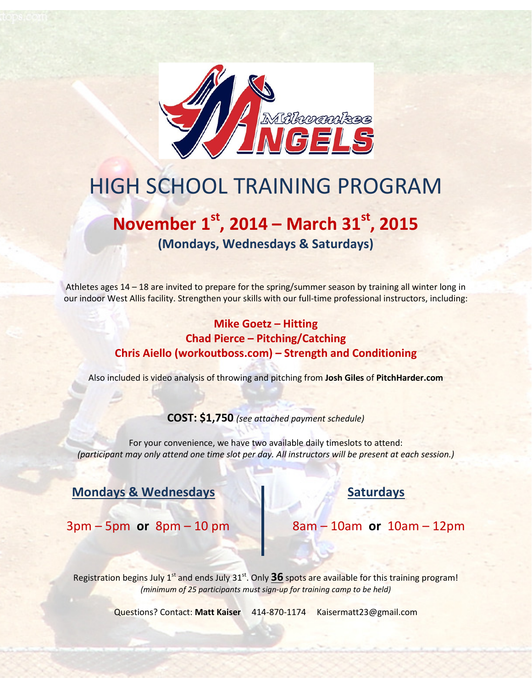

# HIGH SCHOOL TRAINING PROGRAM

## November  $1<sup>st</sup>$ , 2014 – March 31 $<sup>st</sup>$ , 2015</sup> (Mondays, Wednesdays & Saturdays)

Athletes ages 14 – 18 are invited to prepare for the spring/summer season by training all winter long in our indoor West Allis facility. Strengthen your skills with our full-time professional instructors, including:

#### Mike Goetz – Hitting Chad Pierce – Pitching/Catching Chris Aiello (workoutboss.com) – Strength and Conditioning

Also included is video analysis of throwing and pitching from Josh Giles of PitchHarder.com

#### COST: \$1,750 (see attached payment schedule)

For your convenience, we have two available daily timeslots to attend: (participant may only attend one time slot per day. All instructors will be present at each session.)

#### Mondays & Wednesdays Saturdays

 $3pm - 5pm$  or  $8pm - 10pm$   $8am - 10am$  or  $10am - 12pm$ 

Registration begins July  $1^{st}$  and ends July  $31^{st}$ . Only  $36$  spots are available for this training program! (minimum of 25 participants must sign-up for training camp to be held)

Questions? Contact: Matt Kaiser 414-870-1174 Kaisermatt23@gmail.com